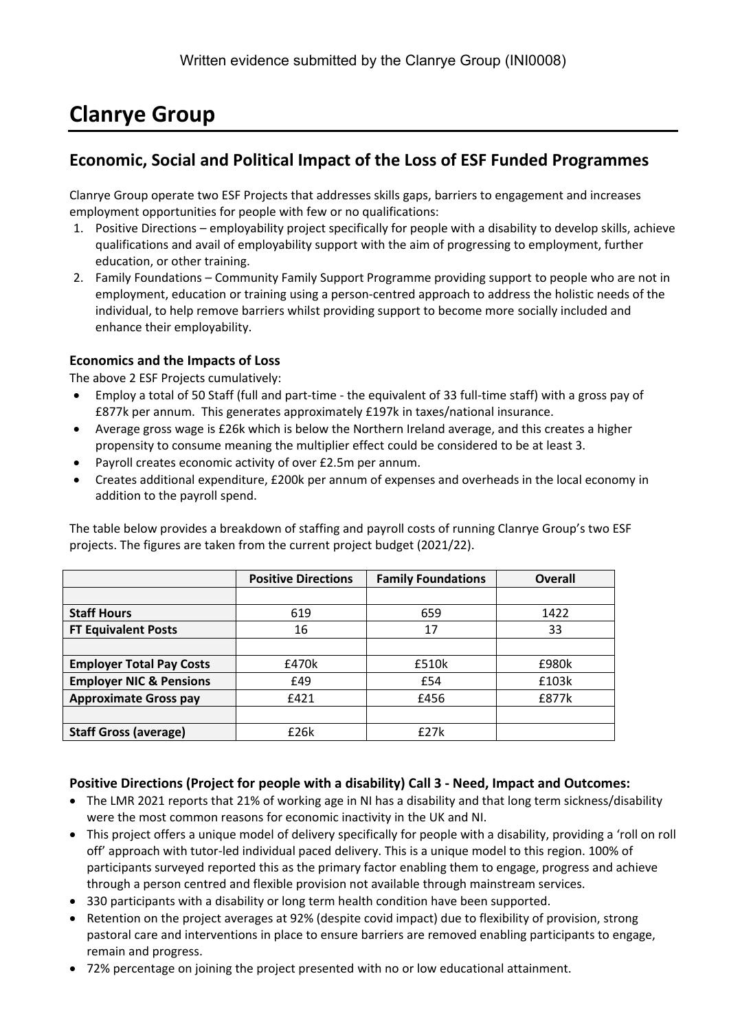# **Clanrye Group**

## **Economic, Social and Political Impact of the Loss of ESF Funded Programmes**

Clanrye Group operate two ESF Projects that addresses skills gaps, barriers to engagement and increases employment opportunities for people with few or no qualifications:

- 1. Positive Directions employability project specifically for people with a disability to develop skills, achieve qualifications and avail of employability support with the aim of progressing to employment, further education, or other training.
- 2. Family Foundations Community Family Support Programme providing support to people who are not in employment, education or training using a person-centred approach to address the holistic needs of the individual, to help remove barriers whilst providing support to become more socially included and enhance their employability.

#### **Economics and the Impacts of Loss**

The above 2 ESF Projects cumulatively:

- Employ a total of 50 Staff (full and part-time the equivalent of 33 full-time staff) with a gross pay of £877k per annum. This generates approximately £197k in taxes/national insurance.
- Average gross wage is £26k which is below the Northern Ireland average, and this creates a higher propensity to consume meaning the multiplier effect could be considered to be at least 3.
- Payroll creates economic activity of over £2.5m per annum.
- Creates additional expenditure, £200k per annum of expenses and overheads in the local economy in addition to the payroll spend.

|                                    | <b>Positive Directions</b> | <b>Family Foundations</b> | <b>Overall</b> |
|------------------------------------|----------------------------|---------------------------|----------------|
|                                    |                            |                           |                |
| <b>Staff Hours</b>                 | 619                        | 659                       | 1422           |
| <b>FT Equivalent Posts</b>         | 16                         | 17                        | 33             |
|                                    |                            |                           |                |
| <b>Employer Total Pay Costs</b>    | £470k                      | £510k                     | £980k          |
| <b>Employer NIC &amp; Pensions</b> | £49                        | £54                       | £103k          |
| <b>Approximate Gross pay</b>       | £421                       | £456                      | £877k          |
|                                    |                            |                           |                |
| <b>Staff Gross (average)</b>       | £26k                       | f27k                      |                |

The table below provides a breakdown of staffing and payroll costs of running Clanrye Group's two ESF projects. The figures are taken from the current project budget (2021/22).

### **Positive Directions (Project for people with a disability) Call 3 - Need, Impact and Outcomes:**

- The LMR 2021 reports that 21% of working age in NI has a disability and that long term sickness/disability were the most common reasons for economic inactivity in the UK and NI.
- This project offers a unique model of delivery specifically for people with a disability, providing a 'roll on roll off' approach with tutor-led individual paced delivery. This is a unique model to this region. 100% of participants surveyed reported this as the primary factor enabling them to engage, progress and achieve through a person centred and flexible provision not available through mainstream services.
- 330 participants with a disability or long term health condition have been supported.
- Retention on the project averages at 92% (despite covid impact) due to flexibility of provision, strong pastoral care and interventions in place to ensure barriers are removed enabling participants to engage, remain and progress.
- 72% percentage on joining the project presented with no or low educational attainment.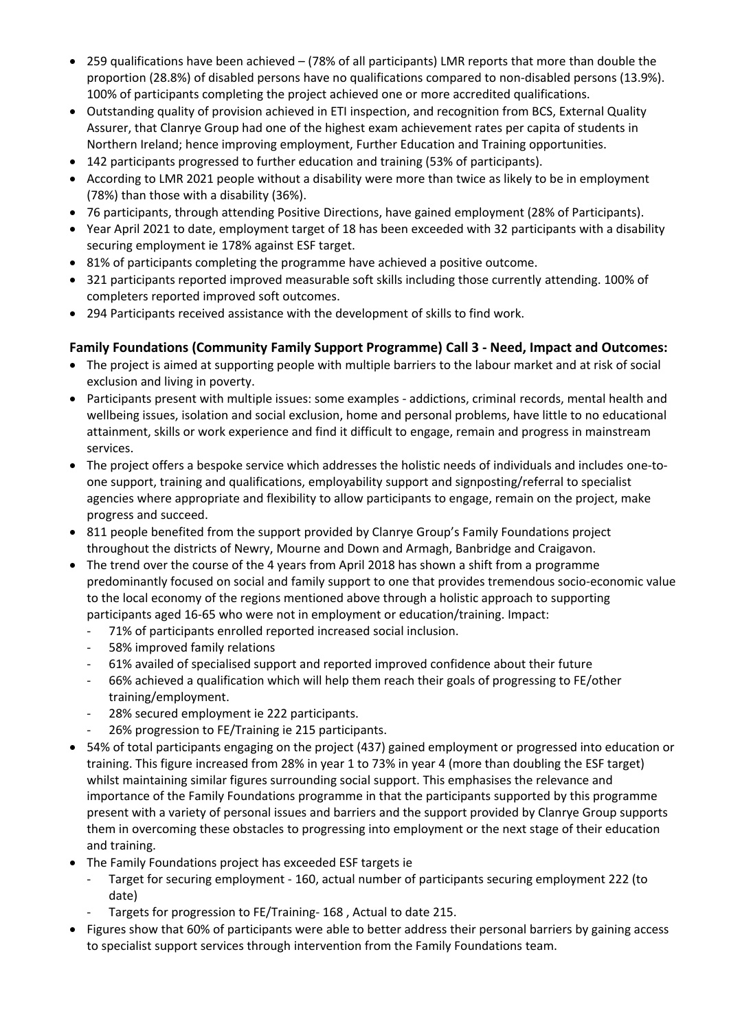- 259 qualifications have been achieved (78% of all participants) LMR reports that more than double the proportion (28.8%) of disabled persons have no qualifications compared to non-disabled persons (13.9%). 100% of participants completing the project achieved one or more accredited qualifications.
- Outstanding quality of provision achieved in ETI inspection, and recognition from BCS, External Quality Assurer, that Clanrye Group had one of the highest exam achievement rates per capita of students in Northern Ireland; hence improving employment, Further Education and Training opportunities.
- 142 participants progressed to further education and training (53% of participants).
- According to LMR 2021 people without a disability were more than twice as likely to be in employment (78%) than those with a disability (36%).
- 76 participants, through attending Positive Directions, have gained employment (28% of Participants).
- Year April 2021 to date, employment target of 18 has been exceeded with 32 participants with a disability securing employment ie 178% against ESF target.
- 81% of participants completing the programme have achieved a positive outcome.
- 321 participants reported improved measurable soft skills including those currently attending. 100% of completers reported improved soft outcomes.
- 294 Participants received assistance with the development of skills to find work.

### **Family Foundations (Community Family Support Programme) Call 3 - Need, Impact and Outcomes:**

- The project is aimed at supporting people with multiple barriers to the labour market and at risk of social exclusion and living in poverty.
- Participants present with multiple issues: some examples addictions, criminal records, mental health and wellbeing issues, isolation and social exclusion, home and personal problems, have little to no educational attainment, skills or work experience and find it difficult to engage, remain and progress in mainstream services.
- The project offers a bespoke service which addresses the holistic needs of individuals and includes one-toone support, training and qualifications, employability support and signposting/referral to specialist agencies where appropriate and flexibility to allow participants to engage, remain on the project, make progress and succeed.
- 811 people benefited from the support provided by Clanrye Group's Family Foundations project throughout the districts of Newry, Mourne and Down and Armagh, Banbridge and Craigavon.
- The trend over the course of the 4 years from April 2018 has shown a shift from a programme predominantly focused on social and family support to one that provides tremendous socio-economic value to the local economy of the regions mentioned above through a holistic approach to supporting participants aged 16-65 who were not in employment or education/training. Impact:
	- 71% of participants enrolled reported increased social inclusion.
	- 58% improved family relations
	- 61% availed of specialised support and reported improved confidence about their future
	- 66% achieved a qualification which will help them reach their goals of progressing to FE/other training/employment.
	- 28% secured employment ie 222 participants.
	- 26% progression to FE/Training ie 215 participants.
- 54% of total participants engaging on the project (437) gained employment or progressed into education or training. This figure increased from 28% in year 1 to 73% in year 4 (more than doubling the ESF target) whilst maintaining similar figures surrounding social support. This emphasises the relevance and importance of the Family Foundations programme in that the participants supported by this programme present with a variety of personal issues and barriers and the support provided by Clanrye Group supports them in overcoming these obstacles to progressing into employment or the next stage of their education and training.
- The Family Foundations project has exceeded ESF targets ie
	- Target for securing employment 160, actual number of participants securing employment 222 (to date)
	- Targets for progression to FE/Training- 168, Actual to date 215.
- Figures show that 60% of participants were able to better address their personal barriers by gaining access to specialist support services through intervention from the Family Foundations team.